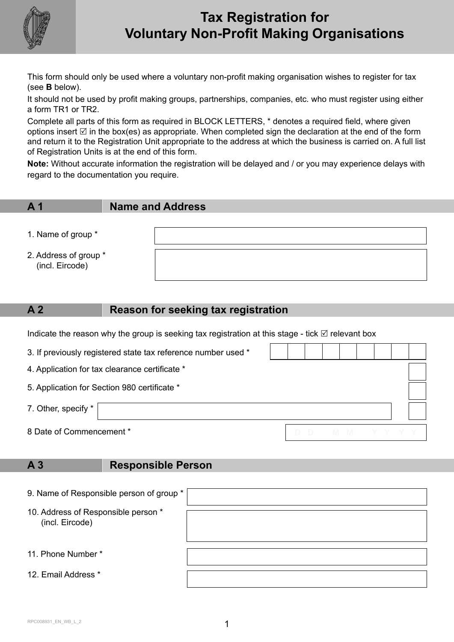

# **Tax Registration for Voluntary Non-Profit Making Organisations**

This form should only be used where a voluntary non-profit making organisation wishes to register for tax (see **B** below).

It should not be used by profit making groups, partnerships, companies, etc. who must register using either a form TR1 or TR2.

Complete all parts of this form as required in BLOCK LETTERS, \* denotes a required field, where given options insert  $\boxtimes$  in the box(es) as appropriate. When completed sign the declaration at the end of the form and return it to the Registration Unit appropriate to the address at which the business is carried on. A full list of Registration Units is at the end of this form.

**Note:** Without accurate information the registration will be delayed and / or you may experience delays with regard to the documentation you require.

**A 1 Name and Address**

- 1. Name of group \*
- 2. Address of group \* (incl. Eircode)

### **A 2 Reason for seeking tax registration**

Indicate the reason why the group is seeking tax registration at this stage - tick  $\boxtimes$  relevant box

| 3. If previously registered state tax reference number used * |  |  |  |  |  |  |           |  |
|---------------------------------------------------------------|--|--|--|--|--|--|-----------|--|
| 4. Application for tax clearance certificate *                |  |  |  |  |  |  |           |  |
| 5. Application for Section 980 certificate *                  |  |  |  |  |  |  |           |  |
| 7. Other, specify *                                           |  |  |  |  |  |  |           |  |
| 8 Date of Commencement *                                      |  |  |  |  |  |  | D M M Y Y |  |

### **A 3 Responsible Person**

| 9. Name of Responsible person of group *               |  |
|--------------------------------------------------------|--|
| 10. Address of Responsible person *<br>(incl. Eircode) |  |
| 11. Phone Number *                                     |  |
| 12. Email Address *                                    |  |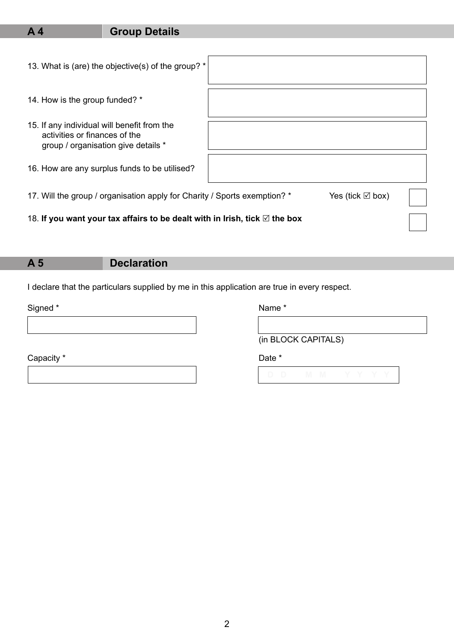## **A 4 Group Details**

| 13. What is (are) the objective(s) of the group? *                                                                  |  |
|---------------------------------------------------------------------------------------------------------------------|--|
| 14. How is the group funded? *                                                                                      |  |
| 15. If any individual will benefit from the<br>activities or finances of the<br>group / organisation give details * |  |
| 16. How are any surplus funds to be utilised?                                                                       |  |
| 17. Will the group / organisation apply for Charity / Sports exemption? *<br>Yes (tick $\boxtimes$ box)             |  |
| 18. If you want your tax affairs to be dealt with in Irish, tick $\boxtimes$ the box                                |  |

## **A 5 Declaration**

I declare that the particulars supplied by me in this application are true in every respect.

Signed \* Name \* Name \* Name \* Name \* Name \* Name \* Name \* Name \* Name \* Name \* Name \* Name \*  $\sim$ 

Capacity \* Date \* Date \* Date \* Date \* Date \* Date \* Date \* Date \* Date \* Date \* Date \* Date \* Date \* Date \* Date \* Date \* Date \* Date \* Date \* Date \* Date \* Date \* Date \* Date \* Date \* Date \* Date \* Date \* Date \* Date \* D

(in BLOCK CAPITALS)